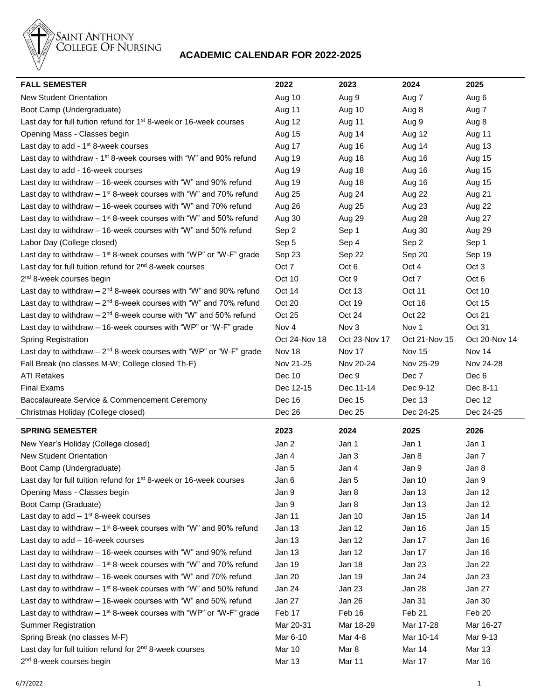

## **ACADEMIC CALENDAR FOR 2022-2025**

| <b>FALL SEMESTER</b>                                                            | 2022             | 2023          | 2024              | 2025             |
|---------------------------------------------------------------------------------|------------------|---------------|-------------------|------------------|
| <b>New Student Orientation</b>                                                  | Aug 10           | Aug 9         | Aug 7             | Aug 6            |
| Boot Camp (Undergraduate)                                                       | Aug 11           | Aug 10        | Aug 8             | Aug 7            |
| Last day for full tuition refund for 1 <sup>st</sup> 8-week or 16-week courses  | Aug 12           | Aug 11        | Aug 9             | Aug 8            |
| Opening Mass - Classes begin                                                    | Aug 15           | Aug 14        | Aug 12            | Aug 11           |
| Last day to add - $1st$ 8-week courses                                          | Aug 17           | Aug 16        | Aug 14            | Aug 13           |
| Last day to withdraw - $1st$ 8-week courses with "W" and 90% refund             | Aug 19           | Aug 18        | Aug 16            | Aug 15           |
| Last day to add - 16-week courses                                               | Aug 19           | Aug 18        | Aug 16            | Aug 15           |
| Last day to withdraw - 16-week courses with "W" and 90% refund                  | Aug 19           | Aug 18        | Aug 16            | Aug 15           |
| Last day to withdraw $-1$ <sup>st</sup> 8-week courses with "W" and 70% refund  | Aug 25           | Aug 24        | Aug 22            | Aug 21           |
| Last day to withdraw - 16-week courses with "W" and 70% refund                  | Aug 26           | Aug 25        | Aug 23            | Aug 22           |
| Last day to withdraw $-1$ <sup>st</sup> 8-week courses with "W" and 50% refund  | Aug 30           | Aug 29        | Aug 28            | Aug 27           |
| Last day to withdraw - 16-week courses with "W" and 50% refund                  | Sep 2            | Sep 1         | Aug 30            | Aug 29           |
| Labor Day (College closed)                                                      | Sep 5            | Sep 4         | Sep 2             | Sep 1            |
| Last day to withdraw $-1$ <sup>st</sup> 8-week courses with "WP" or "W-F" grade | Sep 23           | Sep 22        | Sep 20            | Sep 19           |
| Last day for full tuition refund for 2 <sup>nd</sup> 8-week courses             | Oct 7            | Oct 6         | Oct 4             | Oct <sub>3</sub> |
| 2 <sup>nd</sup> 8-week courses begin                                            | Oct 10           | Oct 9         | Oct 7             | Oct 6            |
| Last day to withdraw $-2^{nd}$ 8-week courses with "W" and 90% refund           | Oct 14           | Oct 13        | Oct 11            | Oct 10           |
| Last day to withdraw $-2nd$ 8-week courses with "W" and 70% refund              | Oct 20           | Oct 19        | Oct 16            | Oct 15           |
| Last day to withdraw $-2nd$ 8-week course with "W" and 50% refund               | Oct 25           | Oct 24        | Oct 22            | Oct 21           |
| Last day to withdraw - 16-week courses with "WP" or "W-F" grade                 | Nov <sub>4</sub> | Nov 3         | Nov 1             | Oct 31           |
| Spring Registration                                                             | Oct 24-Nov 18    | Oct 23-Nov 17 | Oct 21-Nov 15     | Oct 20-Nov 14    |
| Last day to withdraw $-2^{nd}$ 8-week courses with "WP" or "W-F" grade          | Nov 18           | Nov 17        | Nov 15            | Nov 14           |
| Fall Break (no classes M-W; College closed Th-F)                                | Nov 21-25        | Nov 20-24     | Nov 25-29         | Nov 24-28        |
| <b>ATI Retakes</b>                                                              | Dec 10           | Dec 9         | Dec 7             | Dec 6            |
|                                                                                 |                  |               |                   |                  |
| <b>Final Exams</b>                                                              | Dec 12-15        | Dec 11-14     | Dec 9-12          | Dec 8-11         |
| Baccalaureate Service & Commencement Ceremony                                   | Dec 16           | Dec 15        | Dec 13            | Dec 12           |
| Christmas Holiday (College closed)                                              | Dec 26           | Dec 25        | Dec 24-25         | Dec 24-25        |
| <b>SPRING SEMESTER</b>                                                          | 2023             | 2024          | 2025              | 2026             |
| New Year's Holiday (College closed)                                             | Jan 2            | Jan 1         | Jan 1             | Jan 1            |
| <b>New Student Orientation</b>                                                  | Jan 4            | Jan 3         | Jan 8             | Jan 7            |
| Boot Camp (Undergraduate)                                                       | Jan 5            | Jan 4         | Jan 9             | Jan 8            |
| Last day for full tuition refund for 1 <sup>st</sup> 8-week or 16-week courses  | Jan 6            | Jan 5         | Jan 10            | Jan 9            |
| Opening Mass - Classes begin                                                    | Jan 9            | Jan 8         | Jan 13            | Jan 12           |
| Boot Camp (Graduate)                                                            | Jan 9            | Jan 8         | Jan 13            | Jan 12           |
| Last day to add $-1st$ 8-week courses                                           | Jan 11           | Jan 10        | Jan 15            | Jan 14           |
| Last day to withdraw $-1^{st}$ 8-week courses with "W" and 90% refund           | Jan 13           | Jan 12        | Jan 16            | Jan 15           |
| Last day to $add - 16$ -week courses                                            | Jan 13           | Jan 12        | Jan 17            | Jan 16           |
| Last day to withdraw - 16-week courses with "W" and 90% refund                  | Jan 13           | Jan 12        | Jan 17            | Jan 16           |
| Last day to withdraw $-1$ <sup>st</sup> 8-week courses with "W" and 70% refund  | Jan 19           | Jan 18        | Jan 23            | Jan 22           |
| Last day to withdraw - 16-week courses with "W" and 70% refund                  | Jan 20           | Jan 19        | Jan 24            | Jan 23           |
| Last day to withdraw $-1$ <sup>st</sup> 8-week courses with "W" and 50% refund  | Jan 24           | Jan 23        | Jan 28            | Jan 27           |
| Last day to withdraw - 16-week courses with "W" and 50% refund                  | Jan 27           | Jan 26        | Jan 31            | Jan 30           |
| Last day to withdraw $-1$ <sup>st</sup> 8-week courses with "WP" or "W-F" grade | Feb 17           | Feb 16        | Feb <sub>21</sub> | Feb 20           |
| <b>Summer Registration</b>                                                      | Mar 20-31        | Mar 18-29     | Mar 17-28         | Mar 16-27        |
| Spring Break (no classes M-F)                                                   | Mar 6-10         | Mar 4-8       | Mar 10-14         | Mar 9-13         |
| Last day for full tuition refund for 2 <sup>nd</sup> 8-week courses             | Mar 10           | Mar 8         | Mar 14            | Mar 13           |
| 2 <sup>nd</sup> 8-week courses begin                                            | <b>Mar 13</b>    | Mar 11        | Mar 17            | Mar 16           |